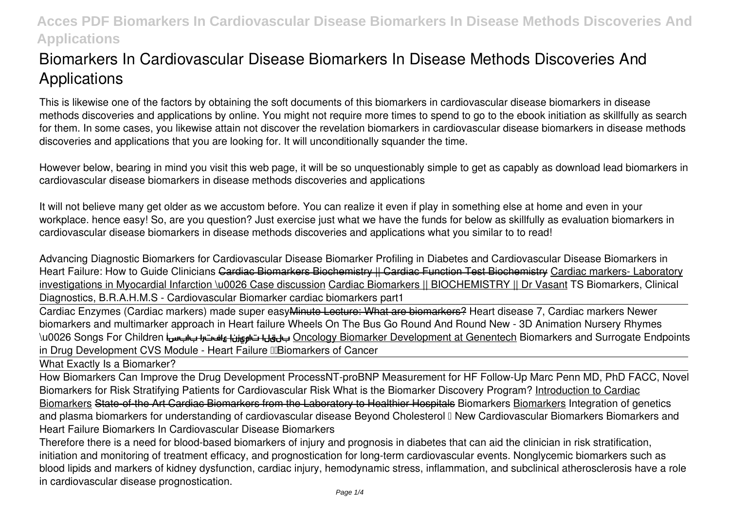# **Biomarkers In Cardiovascular Disease Biomarkers In Disease Methods Discoveries And Applications**

This is likewise one of the factors by obtaining the soft documents of this **biomarkers in cardiovascular disease biomarkers in disease methods discoveries and applications** by online. You might not require more times to spend to go to the ebook initiation as skillfully as search for them. In some cases, you likewise attain not discover the revelation biomarkers in cardiovascular disease biomarkers in disease methods discoveries and applications that you are looking for. It will unconditionally squander the time.

However below, bearing in mind you visit this web page, it will be so unquestionably simple to get as capably as download lead biomarkers in cardiovascular disease biomarkers in disease methods discoveries and applications

It will not believe many get older as we accustom before. You can realize it even if play in something else at home and even in your workplace. hence easy! So, are you question? Just exercise just what we have the funds for below as skillfully as evaluation **biomarkers in cardiovascular disease biomarkers in disease methods discoveries and applications** what you similar to to read!

*Advancing Diagnostic Biomarkers for Cardiovascular Disease* **Biomarker Profiling in Diabetes and Cardiovascular Disease Biomarkers in Heart Failure: How to Guide Clinicians** Cardiac Biomarkers Biochemistry || Cardiac Function Test Biochemistry Cardiac markers- Laboratory investigations in Myocardial Infarction \u0026 Case discussion Cardiac Biomarkers || BIOCHEMISTRY || Dr Vasant *TS Biomarkers, Clinical Diagnostics, B.R.A.H.M.S - Cardiovascular Biomarker cardiac biomarkers part1*

Cardiac Enzymes (Cardiac markers) made super easyMinute Lecture: What are biomarkers? Heart disease 7, Cardiac markers Newer biomarkers and multimarker approach in Heart failure Wheels On The Bus Go Round And Round New - 3D Animation Nursery Rhymes \u0026 Songs For Children بابسأ عافترا تاميزنإ بلقلا Oncology Biomarker Development at Genentech *Biomarkers and Surrogate Endpoints in Drug Development CVS Module - Heart Failure Biomarkers of Cancer*

What Exactly Is a Biomarker?

How Biomarkers Can Improve the Drug Development Process*NT-proBNP Measurement for HF Follow-Up Marc Penn MD, PhD FACC, Novel Biomarkers for Risk Stratifying Patients for Cardiovascular Risk* What is the Biomarker Discovery Program? Introduction to Cardiac Biomarkers State-of-the Art Cardiac Biomarkers from the Laboratory to Healthier Hospitals Biomarkers Biomarkers *Integration of genetics and plasma biomarkers for understanding of cardiovascular disease Beyond Cholesterol ‐ New Cardiovascular Biomarkers* Biomarkers and Heart Failure Biomarkers In Cardiovascular Disease Biomarkers

Therefore there is a need for blood-based biomarkers of injury and prognosis in diabetes that can aid the clinician in risk stratification, initiation and monitoring of treatment efficacy, and prognostication for long-term cardiovascular events. Nonglycemic biomarkers such as blood lipids and markers of kidney dysfunction, cardiac injury, hemodynamic stress, inflammation, and subclinical atherosclerosis have a role in cardiovascular disease prognostication.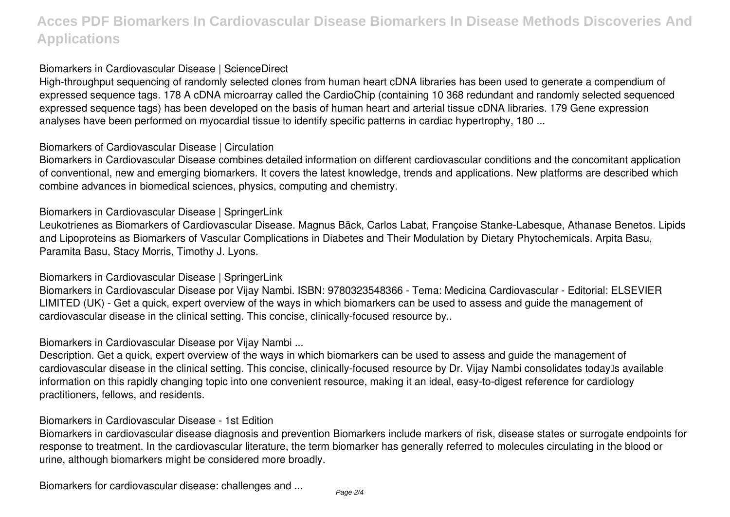#### Biomarkers in Cardiovascular Disease | ScienceDirect

High-throughput sequencing of randomly selected clones from human heart cDNA libraries has been used to generate a compendium of expressed sequence tags. 178 A cDNA microarray called the CardioChip (containing 10 368 redundant and randomly selected sequenced expressed sequence tags) has been developed on the basis of human heart and arterial tissue cDNA libraries. 179 Gene expression analyses have been performed on myocardial tissue to identify specific patterns in cardiac hypertrophy, 180 ...

#### Biomarkers of Cardiovascular Disease | Circulation

Biomarkers in Cardiovascular Disease combines detailed information on different cardiovascular conditions and the concomitant application of conventional, new and emerging biomarkers. It covers the latest knowledge, trends and applications. New platforms are described which combine advances in biomedical sciences, physics, computing and chemistry.

#### Biomarkers in Cardiovascular Disease | SpringerLink

Leukotrienes as Biomarkers of Cardiovascular Disease. Magnus Bäck, Carlos Labat, Françoise Stanke-Labesque, Athanase Benetos. Lipids and Lipoproteins as Biomarkers of Vascular Complications in Diabetes and Their Modulation by Dietary Phytochemicals. Arpita Basu, Paramita Basu, Stacy Morris, Timothy J. Lyons.

#### Biomarkers in Cardiovascular Disease | SpringerLink

Biomarkers in Cardiovascular Disease por Vijay Nambi. ISBN: 9780323548366 - Tema: Medicina Cardiovascular - Editorial: ELSEVIER LIMITED (UK) - Get a quick, expert overview of the ways in which biomarkers can be used to assess and guide the management of cardiovascular disease in the clinical setting. This concise, clinically-focused resource by..

#### Biomarkers in Cardiovascular Disease por Vijay Nambi ...

Description. Get a quick, expert overview of the ways in which biomarkers can be used to assess and guide the management of cardiovascular disease in the clinical setting. This concise, clinically-focused resource by Dr. Vijay Nambi consolidates today<sup>n</sup>s available information on this rapidly changing topic into one convenient resource, making it an ideal, easy-to-digest reference for cardiology practitioners, fellows, and residents.

#### Biomarkers in Cardiovascular Disease - 1st Edition

Biomarkers in cardiovascular disease diagnosis and prevention Biomarkers include markers of risk, disease states or surrogate endpoints for response to treatment. In the cardiovascular literature, the term biomarker has generally referred to molecules circulating in the blood or urine, although biomarkers might be considered more broadly.

Biomarkers for cardiovascular disease: challenges and ...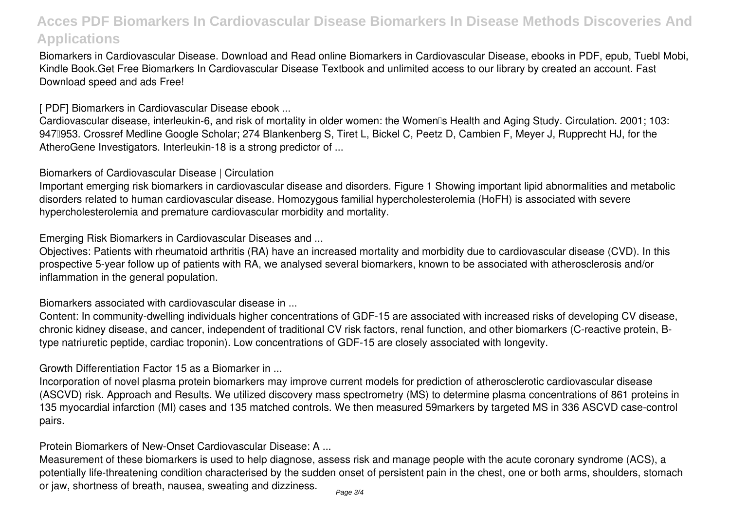Biomarkers in Cardiovascular Disease. Download and Read online Biomarkers in Cardiovascular Disease, ebooks in PDF, epub, Tuebl Mobi, Kindle Book.Get Free Biomarkers In Cardiovascular Disease Textbook and unlimited access to our library by created an account. Fast Download speed and ads Free!

[ PDF] Biomarkers in Cardiovascular Disease ebook ...

Cardiovascular disease, interleukin-6, and risk of mortality in older women: the Women<sup>®</sup>s Health and Aging Study. Circulation. 2001; 103: 9470953. Crossref Medline Google Scholar; 274 Blankenberg S, Tiret L, Bickel C, Peetz D, Cambien F, Meyer J, Rupprecht HJ, for the AtheroGene Investigators. Interleukin-18 is a strong predictor of ...

Biomarkers of Cardiovascular Disease | Circulation

Important emerging risk biomarkers in cardiovascular disease and disorders. Figure 1 Showing important lipid abnormalities and metabolic disorders related to human cardiovascular disease. Homozygous familial hypercholesterolemia (HoFH) is associated with severe hypercholesterolemia and premature cardiovascular morbidity and mortality.

Emerging Risk Biomarkers in Cardiovascular Diseases and ...

Objectives: Patients with rheumatoid arthritis (RA) have an increased mortality and morbidity due to cardiovascular disease (CVD). In this prospective 5-year follow up of patients with RA, we analysed several biomarkers, known to be associated with atherosclerosis and/or inflammation in the general population.

Biomarkers associated with cardiovascular disease in ...

Content: In community-dwelling individuals higher concentrations of GDF-15 are associated with increased risks of developing CV disease, chronic kidney disease, and cancer, independent of traditional CV risk factors, renal function, and other biomarkers (C-reactive protein, Btype natriuretic peptide, cardiac troponin). Low concentrations of GDF-15 are closely associated with longevity.

Growth Differentiation Factor 15 as a Biomarker in ...

Incorporation of novel plasma protein biomarkers may improve current models for prediction of atherosclerotic cardiovascular disease (ASCVD) risk. Approach and Results. We utilized discovery mass spectrometry (MS) to determine plasma concentrations of 861 proteins in 135 myocardial infarction (MI) cases and 135 matched controls. We then measured 59markers by targeted MS in 336 ASCVD case-control pairs.

Protein Biomarkers of New-Onset Cardiovascular Disease: A ...

Measurement of these biomarkers is used to help diagnose, assess risk and manage people with the acute coronary syndrome (ACS), a potentially life-threatening condition characterised by the sudden onset of persistent pain in the chest, one or both arms, shoulders, stomach or jaw, shortness of breath, nausea, sweating and dizziness. Page 3/4